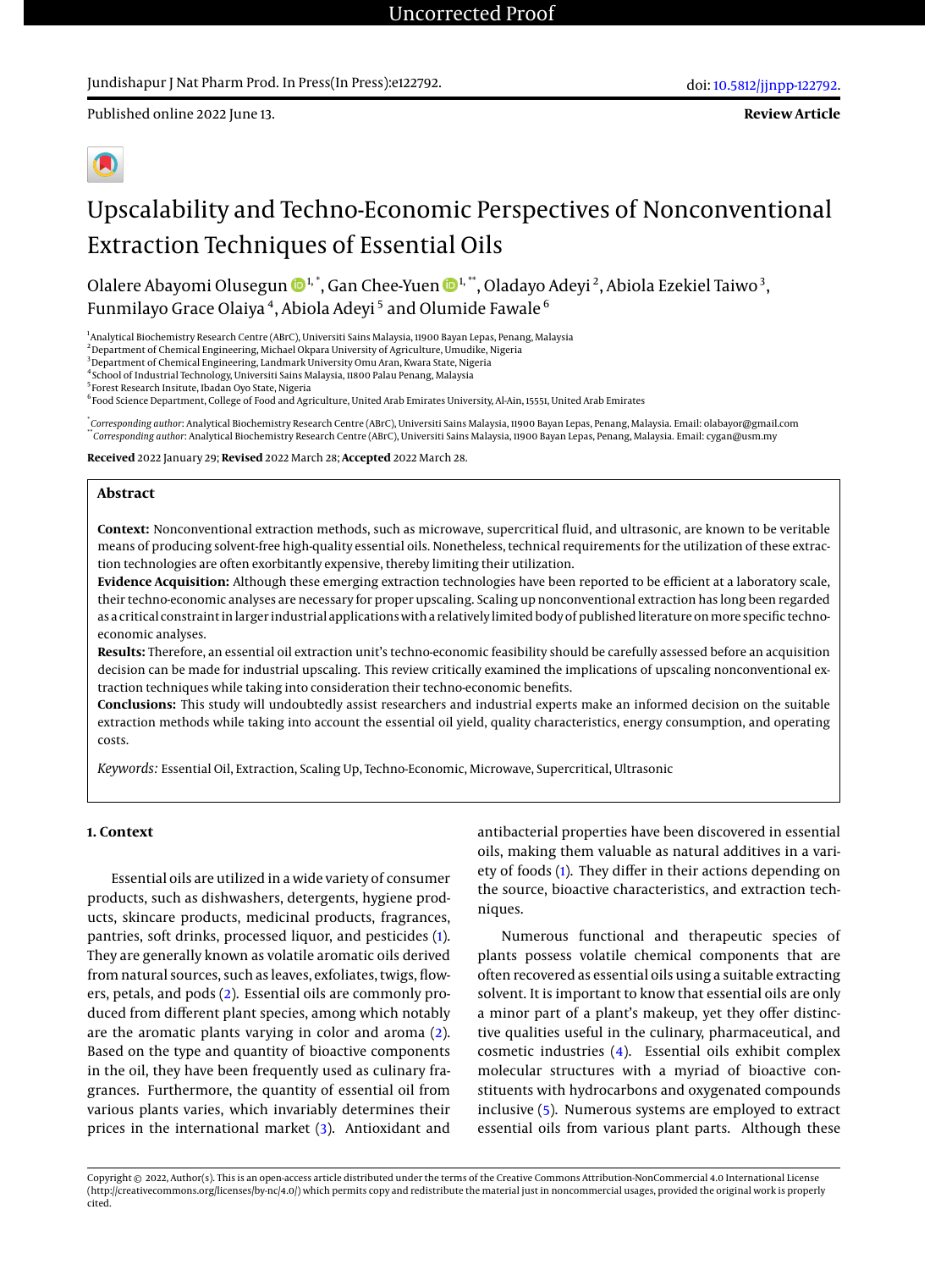## Jundishapur J Nat Pharm Prod. In Press(In Press):e122792.

Published online 2022 June 13.



# Upscalability and Techno-Economic Perspectives of Nonconventional Extraction Techniques of Essential Oils

Olalere Abayomi Olusegun  $\mathbf{\Phi}^{1,*}$ , Gan Chee-Yuen  $\mathbf{\Phi}^{1,*}$ , Oladayo Adeyi  $^2$ , Abiola Ezekiel Taiwo  $^3,$ Funmilayo Grace Olaiya <sup>4</sup>, Abiola Adeyi <sup>5</sup> and Olumide Fawale  $^6$ 

1 Analytical Biochemistry Research Centre (ABrC), Universiti Sains Malaysia, 11900 Bayan Lepas, Penang, Malaysia

<sup>2</sup> Department of Chemical Engineering, Michael Okpara University of Agriculture, Umudike, Nigeria

<sup>3</sup> Department of Chemical Engineering, Landmark University Omu Aran, Kwara State, Nigeria

4 School of Industrial Technology, Universiti Sains Malaysia, 11800 Palau Penang, Malaysia

5 Forest Research Insitute, Ibadan Oyo State, Nigeria

 $^6$ Food Science Department, College of Food and Agriculture, United Arab Emirates University, Al-Ain, 15551, United Arab Emirates

\* *Corresponding author*: Analytical Biochemistry Research Centre (ABrC), Universiti Sains Malaysia, 11900 Bayan Lepas, Penang, Malaysia. Email: olabayor@gmail.com \*\**Corresponding author*: Analytical Biochemistry Research Centre (ABrC), Universiti Sains Malaysia, 11900 Bayan Lepas, Penang, Malaysia. Email: cygan@usm.my

**Received** 2022 January 29; **Revised** 2022 March 28; **Accepted** 2022 March 28.

## **Abstract**

**Context:** Nonconventional extraction methods, such as microwave, supercritical fluid, and ultrasonic, are known to be veritable means of producing solvent-free high-quality essential oils. Nonetheless, technical requirements for the utilization of these extraction technologies are often exorbitantly expensive, thereby limiting their utilization.

**Evidence Acquisition:** Although these emerging extraction technologies have been reported to be efficient at a laboratory scale, their techno-economic analyses are necessary for proper upscaling. Scaling up nonconventional extraction has long been regarded as a critical constraint in larger industrial applications with a relatively limited body of published literature onmore specific technoeconomic analyses.

**Results:** Therefore, an essential oil extraction unit's techno-economic feasibility should be carefully assessed before an acquisition decision can be made for industrial upscaling. This review critically examined the implications of upscaling nonconventional extraction techniques while taking into consideration their techno-economic benefits.

**Conclusions:** This study will undoubtedly assist researchers and industrial experts make an informed decision on the suitable extraction methods while taking into account the essential oil yield, quality characteristics, energy consumption, and operating costs.

*Keywords:* Essential Oil, Extraction, Scaling Up, Techno-Economic, Microwave, Supercritical, Ultrasonic

## **1. Context**

Essential oils are utilized in a wide variety of consumer products, such as dishwashers, detergents, hygiene products, skincare products, medicinal products, fragrances, pantries, soft drinks, processed liquor, and pesticides [\(1\)](#page-4-0). They are generally known as volatile aromatic oils derived from natural sources, such as leaves, exfoliates, twigs, flowers, petals, and pods [\(2\)](#page-4-1). Essential oils are commonly produced from different plant species, among which notably are the aromatic plants varying in color and aroma [\(2\)](#page-4-1). Based on the type and quantity of bioactive components in the oil, they have been frequently used as culinary fragrances. Furthermore, the quantity of essential oil from various plants varies, which invariably determines their prices in the international market [\(3\)](#page-4-2). Antioxidant and

antibacterial properties have been discovered in essential oils, making them valuable as natural additives in a variety of foods [\(1\)](#page-4-0). They differ in their actions depending on the source, bioactive characteristics, and extraction techniques.

Numerous functional and therapeutic species of plants possess volatile chemical components that are often recovered as essential oils using a suitable extracting solvent. It is important to know that essential oils are only a minor part of a plant's makeup, yet they offer distinctive qualities useful in the culinary, pharmaceutical, and cosmetic industries [\(4\)](#page-4-3). Essential oils exhibit complex molecular structures with a myriad of bioactive constituents with hydrocarbons and oxygenated compounds inclusive [\(5\)](#page-4-4). Numerous systems are employed to extract essential oils from various plant parts. Although these

Copyright © 2022, Author(s). This is an open-access article distributed under the terms of the Creative Commons Attribution-NonCommercial 4.0 International License (http://creativecommons.org/licenses/by-nc/4.0/) which permits copy and redistribute the material just in noncommercial usages, provided the original work is properly cited.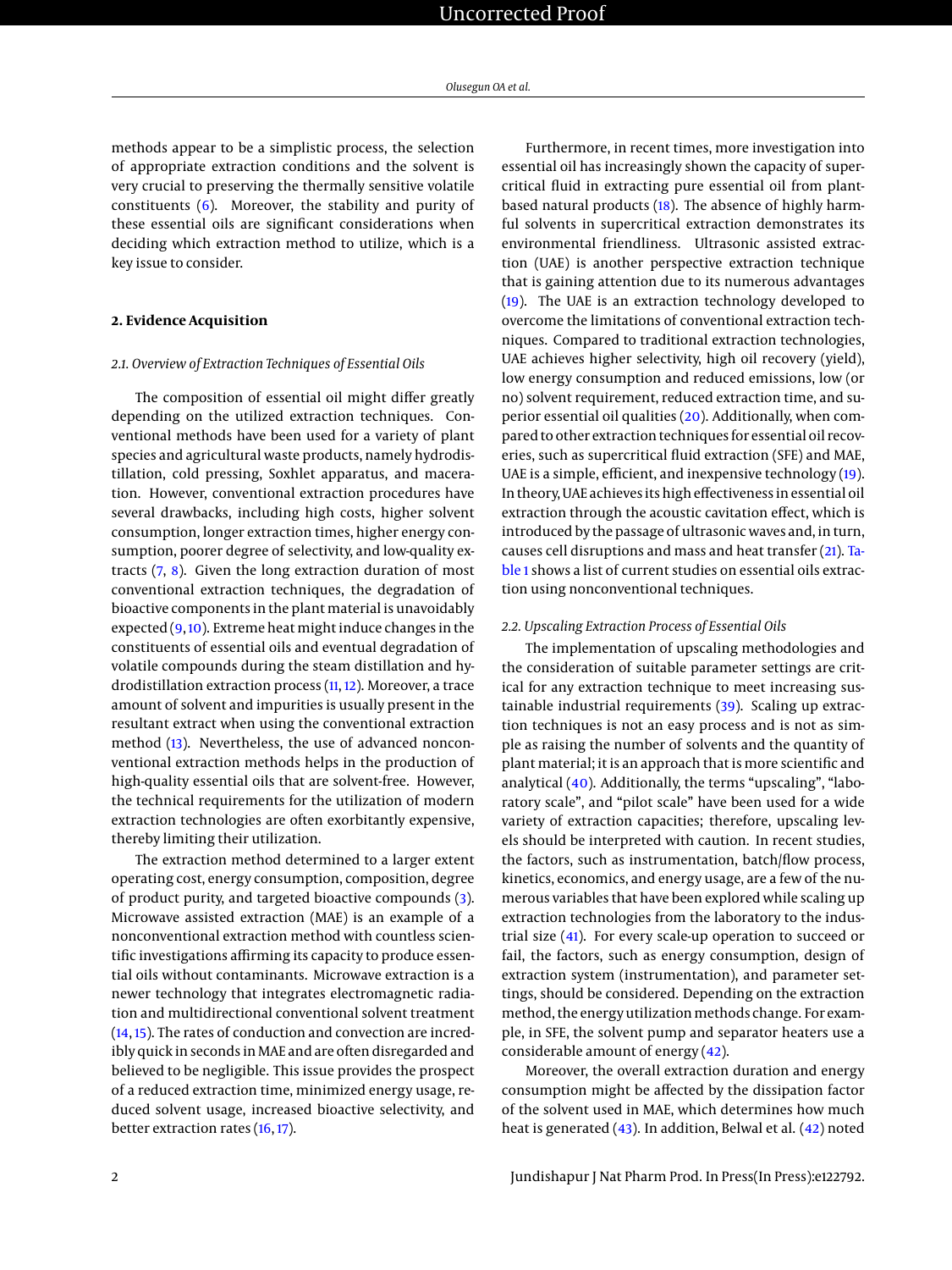methods appear to be a simplistic process, the selection of appropriate extraction conditions and the solvent is very crucial to preserving the thermally sensitive volatile constituents  $(6)$ . Moreover, the stability and purity of these essential oils are significant considerations when deciding which extraction method to utilize, which is a key issue to consider.

## **2. Evidence Acquisition**

#### *2.1. Overview of Extraction Techniques of Essential Oils*

The composition of essential oil might differ greatly depending on the utilized extraction techniques. Conventional methods have been used for a variety of plant species and agricultural waste products, namely hydrodistillation, cold pressing, Soxhlet apparatus, and maceration. However, conventional extraction procedures have several drawbacks, including high costs, higher solvent consumption, longer extraction times, higher energy consumption, poorer degree of selectivity, and low-quality extracts [\(7,](#page-4-6) [8\)](#page-4-7). Given the long extraction duration of most conventional extraction techniques, the degradation of bioactive components in the plant material is unavoidably expected [\(9,](#page-4-8) [10\)](#page-4-9). Extreme heat might induce changes in the constituents of essential oils and eventual degradation of volatile compounds during the steam distillation and hydrodistillation extraction process [\(11,](#page-4-10) [12\)](#page-4-11). Moreover, a trace amount of solvent and impurities is usually present in the resultant extract when using the conventional extraction method [\(13\)](#page-4-12). Nevertheless, the use of advanced nonconventional extraction methods helps in the production of high-quality essential oils that are solvent-free. However, the technical requirements for the utilization of modern extraction technologies are often exorbitantly expensive, thereby limiting their utilization.

The extraction method determined to a larger extent operating cost, energy consumption, composition, degree of product purity, and targeted bioactive compounds [\(3\)](#page-4-2). Microwave assisted extraction (MAE) is an example of a nonconventional extraction method with countless scientific investigations affirming its capacity to produce essential oils without contaminants. Microwave extraction is a newer technology that integrates electromagnetic radiation and multidirectional conventional solvent treatment [\(14,](#page-5-0) [15\)](#page-5-1). The rates of conduction and convection are incredibly quick in seconds in MAE and are often disregarded and believed to be negligible. This issue provides the prospect of a reduced extraction time, minimized energy usage, reduced solvent usage, increased bioactive selectivity, and better extraction rates [\(16,](#page-5-2) [17\)](#page-5-3).

Furthermore, in recent times, more investigation into essential oil has increasingly shown the capacity of supercritical fluid in extracting pure essential oil from plantbased natural products [\(18\)](#page-5-4). The absence of highly harmful solvents in supercritical extraction demonstrates its environmental friendliness. Ultrasonic assisted extraction (UAE) is another perspective extraction technique that is gaining attention due to its numerous advantages [\(19\)](#page-5-5). The UAE is an extraction technology developed to overcome the limitations of conventional extraction techniques. Compared to traditional extraction technologies, UAE achieves higher selectivity, high oil recovery (yield), low energy consumption and reduced emissions, low (or no) solvent requirement, reduced extraction time, and superior essential oil qualities [\(20\)](#page-5-6). Additionally, when compared to other extraction techniques for essential oil recoveries, such as supercritical fluid extraction (SFE) and MAE, UAE is a simple, efficient, and inexpensive technology [\(19\)](#page-5-5). In theory, UAE achieves its high effectiveness in essential oil extraction through the acoustic cavitation effect, which is introduced by the passage of ultrasonic waves and, in turn, causes cell disruptions and mass and heat transfer [\(21\)](#page-5-7). [Ta](#page-2-0)[ble 1](#page-2-0) shows a list of current studies on essential oils extraction using nonconventional techniques.

#### *2.2. Upscaling Extraction Process of Essential Oils*

The implementation of upscaling methodologies and the consideration of suitable parameter settings are critical for any extraction technique to meet increasing sustainable industrial requirements [\(39\)](#page-5-8). Scaling up extraction techniques is not an easy process and is not as simple as raising the number of solvents and the quantity of plant material; it is an approach that is more scientific and analytical [\(40\)](#page-5-9). Additionally, the terms "upscaling", "laboratory scale", and "pilot scale" have been used for a wide variety of extraction capacities; therefore, upscaling levels should be interpreted with caution. In recent studies, the factors, such as instrumentation, batch/flow process, kinetics, economics, and energy usage, are a few of the numerous variables that have been explored while scaling up extraction technologies from the laboratory to the industrial size [\(41\)](#page-5-10). For every scale-up operation to succeed or fail, the factors, such as energy consumption, design of extraction system (instrumentation), and parameter settings, should be considered. Depending on the extraction method, the energy utilization methods change. For example, in SFE, the solvent pump and separator heaters use a considerable amount of energy [\(42\)](#page-5-11).

Moreover, the overall extraction duration and energy consumption might be affected by the dissipation factor of the solvent used in MAE, which determines how much heat is generated [\(43\)](#page-5-12). In addition, Belwal et al. [\(42\)](#page-5-11) noted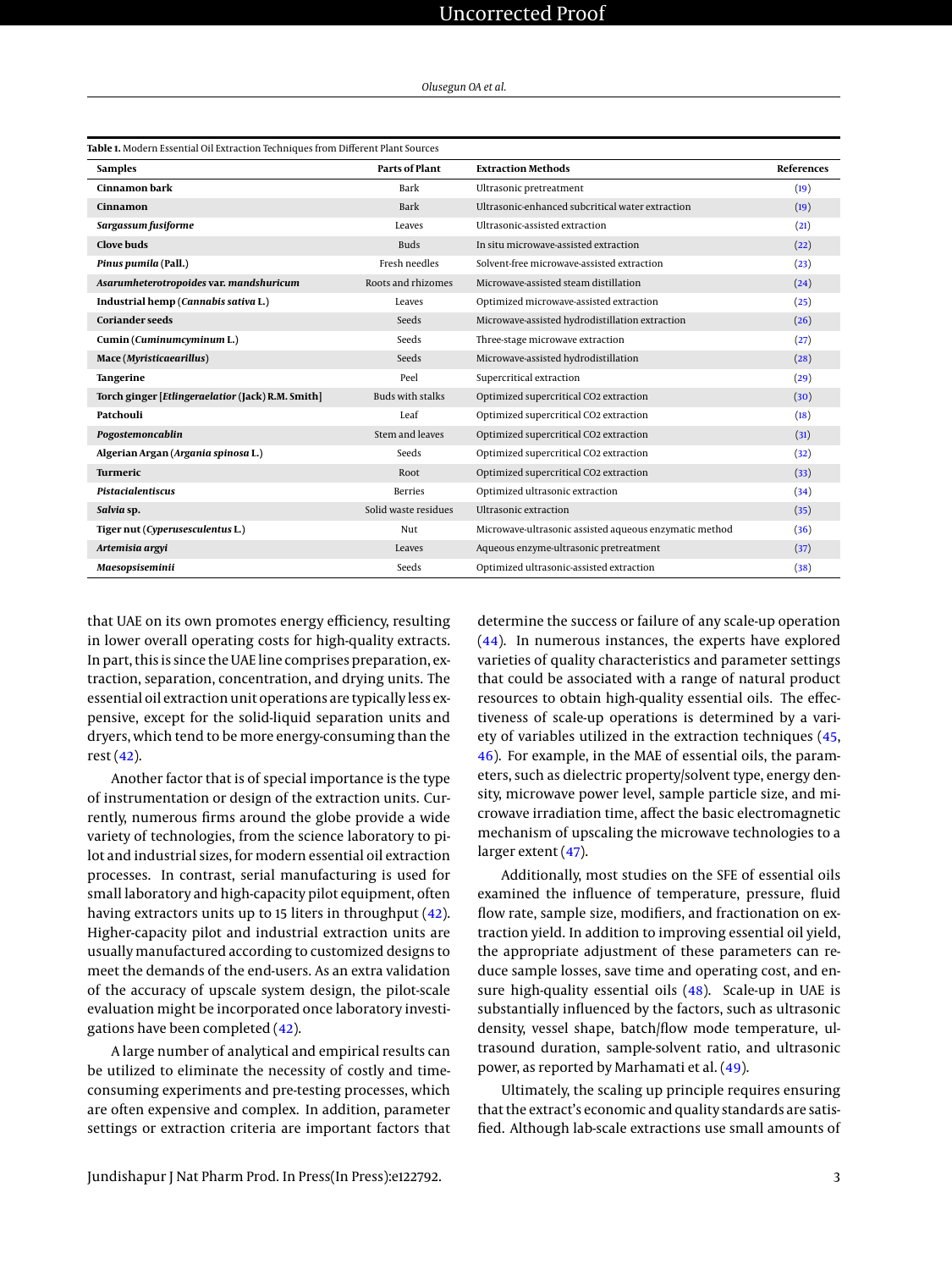| Olusegun OA et al. |  |  |  |  |
|--------------------|--|--|--|--|
|--------------------|--|--|--|--|

<span id="page-2-0"></span>

| <b>Samples</b>                                    | Parts of Plant          | <b>Extraction Methods</b>                              | <b>References</b> |
|---------------------------------------------------|-------------------------|--------------------------------------------------------|-------------------|
| Cinnamon bark                                     | Bark                    | Ultrasonic pretreatment                                | (19)              |
| Cinnamon                                          | Bark                    | Ultrasonic-enhanced subcritical water extraction       | (19)              |
| Sargassum fusiforme                               | Leaves                  | Ultrasonic-assisted extraction                         | (21)              |
| Clove buds                                        | <b>Buds</b>             | In situ microwave-assisted extraction                  | (22)              |
| Pinus pumila (Pall.)                              | Fresh needles           | Solvent-free microwave-assisted extraction             | (23)              |
| Asarumheterotropoides var. mandshuricum           | Roots and rhizomes      | Microwaye-assisted steam distillation                  | (24)              |
| Industrial hemp (Cannabis sativa L.)              | Leaves                  | Optimized microwave-assisted extraction                | (25)              |
| <b>Coriander seeds</b>                            | Seeds                   | Microwave-assisted hydrodistillation extraction        | (26)              |
| Cumin (Cuminumcyminum L.)                         | Seeds                   | Three-stage microwave extraction                       | (27)              |
| Mace (Myristicaearillus)                          | Seeds                   | Microwave-assisted hydrodistillation                   | (28)              |
| Tangerine                                         | Peel                    | Supercritical extraction                               | (29)              |
| Torch ginger [Etlingeraelatior (Jack) R.M. Smith] | <b>Buds with stalks</b> | Optimized supercritical CO2 extraction                 | (30)              |
| Patchouli                                         | Leaf                    | Optimized supercritical CO2 extraction                 | (18)              |
| Pogostemoncablin                                  | Stem and leaves         | Optimized supercritical CO2 extraction                 | (31)              |
| Algerian Argan (Argania spinosa L.)               | Seeds                   | Optimized supercritical CO2 extraction                 | (32)              |
| Turmeric                                          | Root                    | Optimized supercritical CO2 extraction                 | (33)              |
| <b>Pistacialentiscus</b>                          | <b>Berries</b>          | Optimized ultrasonic extraction                        | (34)              |
| Salvia sp.                                        | Solid waste residues    | Ultrasonic extraction                                  | (35)              |
| Tiger nut (Cyperusesculentus L.)                  | Nut                     | Microwave-ultrasonic assisted aqueous enzymatic method | (36)              |
| Artemisia argyi                                   | Leaves                  | Aqueous enzyme-ultrasonic pretreatment                 | (37)              |
| Maesopsiseminii                                   | Seeds                   | Optimized ultrasonic-assisted extraction               | (38)              |

that UAE on its own promotes energy efficiency, resulting in lower overall operating costs for high-quality extracts. In part, this is since the UAE line comprises preparation, extraction, separation, concentration, and drying units. The essential oil extraction unit operations are typically less expensive, except for the solid-liquid separation units and dryers, which tend to be more energy-consuming than the rest [\(42\)](#page-5-11).

Another factor that is of special importance is the type of instrumentation or design of the extraction units. Currently, numerous firms around the globe provide a wide variety of technologies, from the science laboratory to pilot and industrial sizes, for modern essential oil extraction processes. In contrast, serial manufacturing is used for small laboratory and high-capacity pilot equipment, often having extractors units up to 15 liters in throughput [\(42\)](#page-5-11). Higher-capacity pilot and industrial extraction units are usually manufactured according to customized designs to meet the demands of the end-users. As an extra validation of the accuracy of upscale system design, the pilot-scale evaluation might be incorporated once laboratory investigations have been completed [\(42\)](#page-5-11).

A large number of analytical and empirical results can be utilized to eliminate the necessity of costly and timeconsuming experiments and pre-testing processes, which are often expensive and complex. In addition, parameter settings or extraction criteria are important factors that

determine the success or failure of any scale-up operation [\(44\)](#page-6-0). In numerous instances, the experts have explored varieties of quality characteristics and parameter settings that could be associated with a range of natural product resources to obtain high-quality essential oils. The effectiveness of scale-up operations is determined by a variety of variables utilized in the extraction techniques [\(45,](#page-6-1) [46\)](#page-6-2). For example, in the MAE of essential oils, the parameters, such as dielectric property/solvent type, energy density, microwave power level, sample particle size, and microwave irradiation time, affect the basic electromagnetic mechanism of upscaling the microwave technologies to a larger extent [\(47\)](#page-6-3).

Additionally, most studies on the SFE of essential oils examined the influence of temperature, pressure, fluid flow rate, sample size, modifiers, and fractionation on extraction yield. In addition to improving essential oil yield, the appropriate adjustment of these parameters can reduce sample losses, save time and operating cost, and en-sure high-quality essential oils [\(48\)](#page-6-4). Scale-up in UAE is substantially influenced by the factors, such as ultrasonic density, vessel shape, batch/flow mode temperature, ultrasound duration, sample-solvent ratio, and ultrasonic power, as reported by Marhamati et al. [\(49\)](#page-6-5).

Ultimately, the scaling up principle requires ensuring that the extract's economic and quality standards are satisfied. Although lab-scale extractions use small amounts of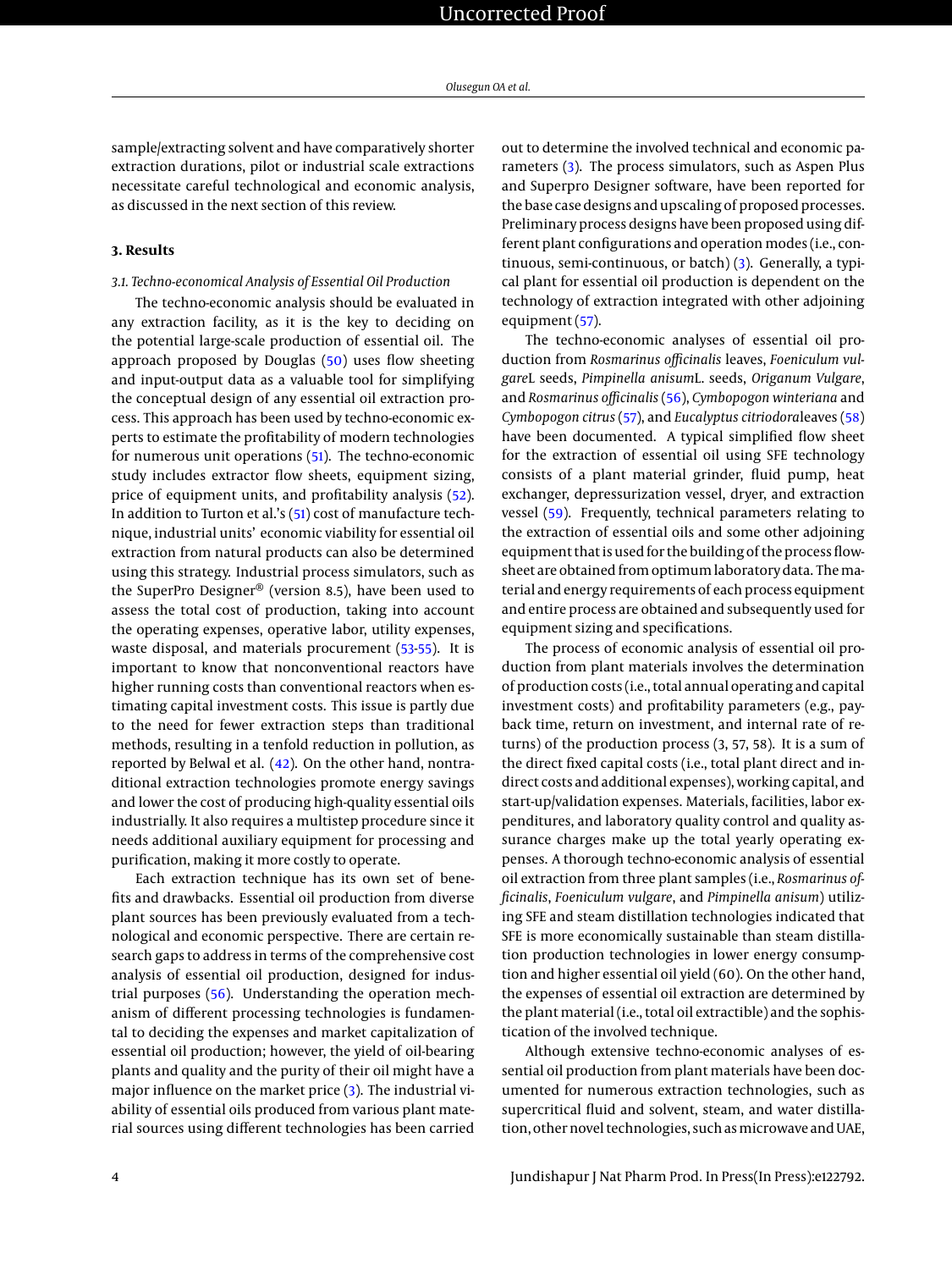sample/extracting solvent and have comparatively shorter extraction durations, pilot or industrial scale extractions necessitate careful technological and economic analysis, as discussed in the next section of this review.

#### **3. Results**

## *3.1. Techno-economical Analysis of Essential Oil Production*

The techno-economic analysis should be evaluated in any extraction facility, as it is the key to deciding on the potential large-scale production of essential oil. The approach proposed by Douglas [\(50\)](#page-6-6) uses flow sheeting and input-output data as a valuable tool for simplifying the conceptual design of any essential oil extraction process. This approach has been used by techno-economic experts to estimate the profitability of modern technologies for numerous unit operations [\(51\)](#page-6-7). The techno-economic study includes extractor flow sheets, equipment sizing, price of equipment units, and profitability analysis [\(52\)](#page-6-8). In addition to Turton et al.'s [\(51\)](#page-6-7) cost of manufacture technique, industrial units' economic viability for essential oil extraction from natural products can also be determined using this strategy. Industrial process simulators, such as the SuperPro Designer® (version 8.5), have been used to assess the total cost of production, taking into account the operating expenses, operative labor, utility expenses, waste disposal, and materials procurement [\(53](#page-6-9)[-55\)](#page-6-10). It is important to know that nonconventional reactors have higher running costs than conventional reactors when estimating capital investment costs. This issue is partly due to the need for fewer extraction steps than traditional methods, resulting in a tenfold reduction in pollution, as reported by Belwal et al. [\(42\)](#page-5-11). On the other hand, nontraditional extraction technologies promote energy savings and lower the cost of producing high-quality essential oils industrially. It also requires a multistep procedure since it needs additional auxiliary equipment for processing and purification, making it more costly to operate.

Each extraction technique has its own set of benefits and drawbacks. Essential oil production from diverse plant sources has been previously evaluated from a technological and economic perspective. There are certain research gaps to address in terms of the comprehensive cost analysis of essential oil production, designed for industrial purposes [\(56\)](#page-6-11). Understanding the operation mechanism of different processing technologies is fundamental to deciding the expenses and market capitalization of essential oil production; however, the yield of oil-bearing plants and quality and the purity of their oil might have a major influence on the market price [\(3\)](#page-4-2). The industrial viability of essential oils produced from various plant material sources using different technologies has been carried

out to determine the involved technical and economic parameters [\(3\)](#page-4-2). The process simulators, such as Aspen Plus and Superpro Designer software, have been reported for the base case designs and upscaling of proposed processes. Preliminary process designs have been proposed using different plant configurations and operation modes (i.e., continuous, semi-continuous, or batch) [\(3\)](#page-4-2). Generally, a typical plant for essential oil production is dependent on the technology of extraction integrated with other adjoining equipment [\(57\)](#page-6-12).

The techno-economic analyses of essential oil production from *Rosmarinus officinalis* leaves, *Foeniculum vulgare*L seeds, *Pimpinella anisum*L. seeds, *Origanum Vulgare*, and *Rosmarinus officinalis* [\(56\)](#page-6-11), *Cymbopogon winteriana* and *Cymbopogon citrus* [\(57\)](#page-6-12), and *Eucalyptus citriodora*leaves [\(58\)](#page-6-13) have been documented. A typical simplified flow sheet for the extraction of essential oil using SFE technology consists of a plant material grinder, fluid pump, heat exchanger, depressurization vessel, dryer, and extraction vessel [\(59\)](#page-6-14). Frequently, technical parameters relating to the extraction of essential oils and some other adjoining equipment that is used for the building of the process flowsheet are obtained from optimum laboratory data. Thematerial and energy requirements of each process equipment and entire process are obtained and subsequently used for equipment sizing and specifications.

The process of economic analysis of essential oil production from plant materials involves the determination of production costs (i.e., total annual operating and capital investment costs) and profitability parameters (e.g., payback time, return on investment, and internal rate of returns) of the production process (3, 57, 58). It is a sum of the direct fixed capital costs (i.e., total plant direct and indirect costs and additional expenses), working capital, and start-up/validation expenses. Materials, facilities, labor expenditures, and laboratory quality control and quality assurance charges make up the total yearly operating expenses. A thorough techno-economic analysis of essential oil extraction from three plant samples (i.e., *Rosmarinus officinalis*, *Foeniculum vulgare*, and *Pimpinella anisum*) utilizing SFE and steam distillation technologies indicated that SFE is more economically sustainable than steam distillation production technologies in lower energy consumption and higher essential oil yield (60). On the other hand, the expenses of essential oil extraction are determined by the plant material (i.e., total oil extractible) and the sophistication of the involved technique.

Although extensive techno-economic analyses of essential oil production from plant materials have been documented for numerous extraction technologies, such as supercritical fluid and solvent, steam, and water distillation, other novel technologies, such as microwave and UAE,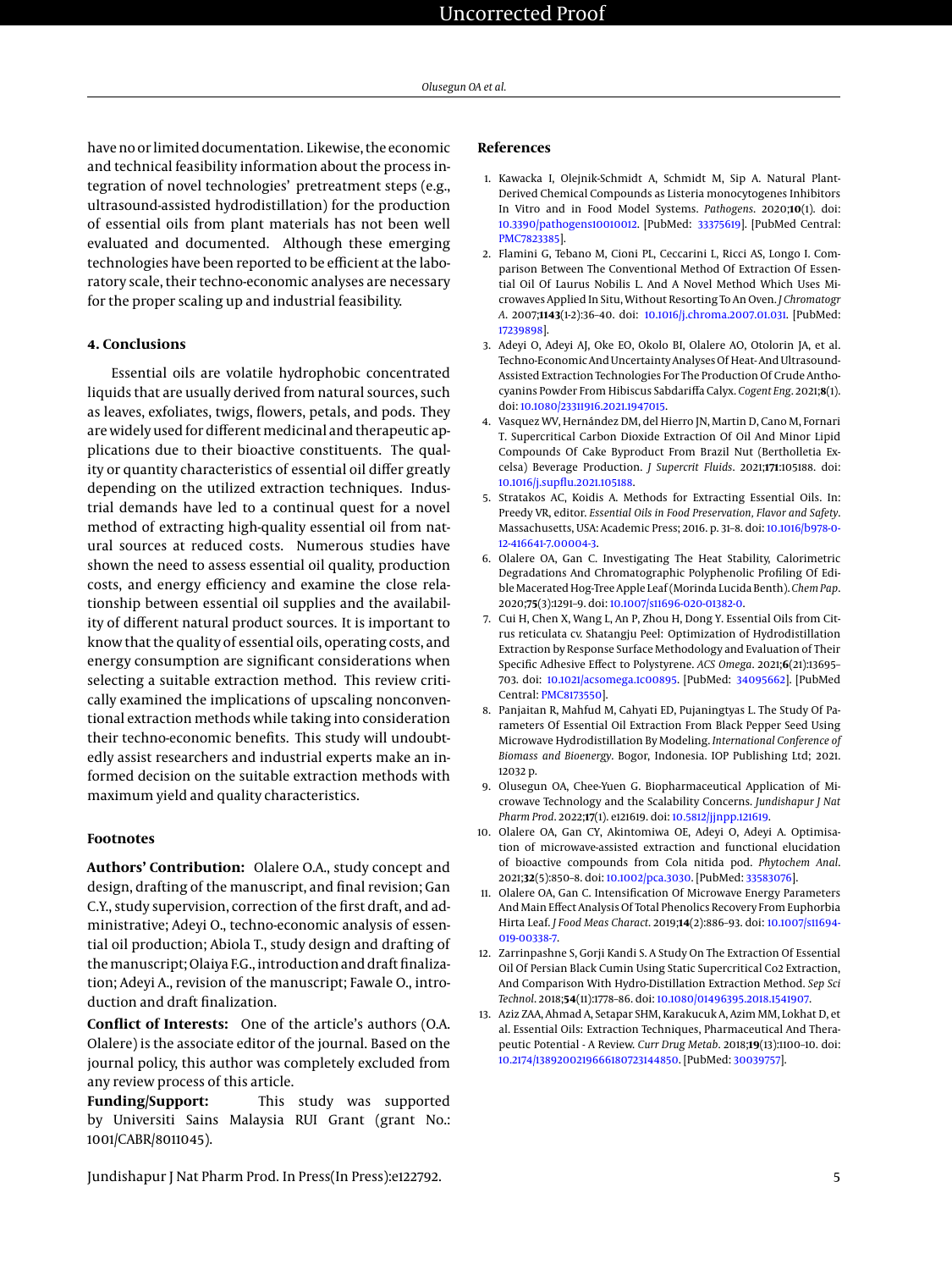have no or limited documentation. Likewise, the economic and technical feasibility information about the process integration of novel technologies' pretreatment steps (e.g., ultrasound-assisted hydrodistillation) for the production of essential oils from plant materials has not been well evaluated and documented. Although these emerging technologies have been reported to be efficient at the laboratory scale, their techno-economic analyses are necessary for the proper scaling up and industrial feasibility.

## **4. Conclusions**

Essential oils are volatile hydrophobic concentrated liquids that are usually derived from natural sources, such as leaves, exfoliates, twigs, flowers, petals, and pods. They are widely used for different medicinal and therapeutic applications due to their bioactive constituents. The quality or quantity characteristics of essential oil differ greatly depending on the utilized extraction techniques. Industrial demands have led to a continual quest for a novel method of extracting high-quality essential oil from natural sources at reduced costs. Numerous studies have shown the need to assess essential oil quality, production costs, and energy efficiency and examine the close relationship between essential oil supplies and the availability of different natural product sources. It is important to know that the quality of essential oils, operating costs, and energy consumption are significant considerations when selecting a suitable extraction method. This review critically examined the implications of upscaling nonconventional extraction methods while taking into consideration their techno-economic benefits. This study will undoubtedly assist researchers and industrial experts make an informed decision on the suitable extraction methods with maximum yield and quality characteristics.

## **Footnotes**

**Authors' Contribution:** Olalere O.A., study concept and design, drafting of the manuscript, and final revision; Gan C.Y., study supervision, correction of the first draft, and administrative; Adeyi O., techno-economic analysis of essential oil production; Abiola T., study design and drafting of the manuscript; Olaiya F.G., introduction and draft finalization; Adeyi A., revision of the manuscript; Fawale O., introduction and draft finalization.

**Conflict of Interests:** One of the article's authors (O.A. Olalere) is the associate editor of the journal. Based on the journal policy, this author was completely excluded from any review process of this article.

**Funding/Support:** This study was supported by Universiti Sains Malaysia RUI Grant (grant No.: 1001/CABR/8011045).

## **References**

- <span id="page-4-0"></span>1. Kawacka I, Olejnik-Schmidt A, Schmidt M, Sip A. Natural Plant-Derived Chemical Compounds as Listeria monocytogenes Inhibitors In Vitro and in Food Model Systems. *Pathogens*. 2020;**10**(1). doi: [10.3390/pathogens10010012.](http://dx.doi.org/10.3390/pathogens10010012) [PubMed: [33375619\]](http://www.ncbi.nlm.nih.gov/pubmed/33375619). [PubMed Central: [PMC7823385\]](https://www.ncbi.nlm.nih.gov/pmc/articles/PMC7823385).
- <span id="page-4-1"></span>2. Flamini G, Tebano M, Cioni PL, Ceccarini L, Ricci AS, Longo I. Comparison Between The Conventional Method Of Extraction Of Essential Oil Of Laurus Nobilis L. And A Novel Method Which Uses Microwaves Applied In Situ, Without Resorting To An Oven. *J Chromatogr A*. 2007;**1143**(1-2):36–40. doi: [10.1016/j.chroma.2007.01.031.](http://dx.doi.org/10.1016/j.chroma.2007.01.031) [PubMed: [17239898\]](http://www.ncbi.nlm.nih.gov/pubmed/17239898).
- <span id="page-4-2"></span>3. Adeyi O, Adeyi AJ, Oke EO, Okolo BI, Olalere AO, Otolorin JA, et al. Techno-Economic And Uncertainty Analyses Of Heat- And Ultrasound-Assisted Extraction Technologies For The Production Of Crude Anthocyanins Powder From Hibiscus Sabdariffa Calyx. *Cogent Eng*. 2021;**8**(1). doi: [10.1080/23311916.2021.1947015.](http://dx.doi.org/10.1080/23311916.2021.1947015)
- <span id="page-4-3"></span>4. Vasquez WV, Hernández DM, del Hierro JN, Martin D, Cano M, Fornari T. Supercritical Carbon Dioxide Extraction Of Oil And Minor Lipid Compounds Of Cake Byproduct From Brazil Nut (Bertholletia Excelsa) Beverage Production. *J Supercrit Fluids*. 2021;**171**:105188. doi: [10.1016/j.supflu.2021.105188.](http://dx.doi.org/10.1016/j.supflu.2021.105188)
- <span id="page-4-4"></span>5. Stratakos AC, Koidis A. Methods for Extracting Essential Oils. In: Preedy VR, editor. *Essential Oils in Food Preservation, Flavor and Safety*. Massachusetts, USA: Academic Press; 2016. p. 31–8. doi: [10.1016/b978-0-](http://dx.doi.org/10.1016/b978-0-12-416641-7.00004-3) [12-416641-7.00004-3.](http://dx.doi.org/10.1016/b978-0-12-416641-7.00004-3)
- <span id="page-4-5"></span>6. Olalere OA, Gan C. Investigating The Heat Stability, Calorimetric Degradations And Chromatographic Polyphenolic Profiling Of Edible Macerated Hog-Tree Apple Leaf (Morinda Lucida Benth).*Chem Pap*. 2020;**75**(3):1291–9. doi: [10.1007/s11696-020-01382-0.](http://dx.doi.org/10.1007/s11696-020-01382-0)
- <span id="page-4-6"></span>7. Cui H, Chen X, Wang L, An P, Zhou H, Dong Y. Essential Oils from Citrus reticulata cv. Shatangju Peel: Optimization of Hydrodistillation Extraction by Response Surface Methodology and Evaluation of Their Specific Adhesive Effect to Polystyrene. *ACS Omega*. 2021;**6**(21):13695– 703. doi: [10.1021/acsomega.1c00895.](http://dx.doi.org/10.1021/acsomega.1c00895) [PubMed: [34095662\]](http://www.ncbi.nlm.nih.gov/pubmed/34095662). [PubMed Central: [PMC8173550\]](https://www.ncbi.nlm.nih.gov/pmc/articles/PMC8173550).
- <span id="page-4-7"></span>8. Panjaitan R, Mahfud M, Cahyati ED, Pujaningtyas L. The Study Of Parameters Of Essential Oil Extraction From Black Pepper Seed Using Microwave Hydrodistillation By Modeling. *International Conference of Biomass and Bioenergy*. Bogor, Indonesia. IOP Publishing Ltd; 2021. 12032 p.
- <span id="page-4-8"></span>9. Olusegun OA, Chee-Yuen G. Biopharmaceutical Application of Microwave Technology and the Scalability Concerns. *Jundishapur J Nat Pharm Prod*. 2022;**17**(1). e121619. doi: [10.5812/jjnpp.121619.](http://dx.doi.org/10.5812/jjnpp.121619)
- <span id="page-4-9"></span>10. Olalere OA, Gan CY, Akintomiwa OE, Adeyi O, Adeyi A. Optimisation of microwave-assisted extraction and functional elucidation of bioactive compounds from Cola nitida pod. *Phytochem Anal*. 2021;**32**(5):850–8. doi: [10.1002/pca.3030.](http://dx.doi.org/10.1002/pca.3030) [PubMed: [33583076\]](http://www.ncbi.nlm.nih.gov/pubmed/33583076).
- <span id="page-4-10"></span>11. Olalere OA, Gan C. Intensification Of Microwave Energy Parameters And Main Effect Analysis Of Total Phenolics Recovery From Euphorbia Hirta Leaf. *J Food Meas Charact*. 2019;**14**(2):886–93. doi: [10.1007/s11694-](http://dx.doi.org/10.1007/s11694-019-00338-7) [019-00338-7.](http://dx.doi.org/10.1007/s11694-019-00338-7)
- <span id="page-4-11"></span>12. Zarrinpashne S, Gorji Kandi S. A Study On The Extraction Of Essential Oil Of Persian Black Cumin Using Static Supercritical Co2 Extraction, And Comparison With Hydro-Distillation Extraction Method. *Sep Sci Technol*. 2018;**54**(11):1778–86. doi: [10.1080/01496395.2018.1541907.](http://dx.doi.org/10.1080/01496395.2018.1541907)
- <span id="page-4-12"></span>13. Aziz ZAA, Ahmad A, Setapar SHM, Karakucuk A, Azim MM, Lokhat D, et al. Essential Oils: Extraction Techniques, Pharmaceutical And Therapeutic Potential - A Review. *Curr Drug Metab*. 2018;**19**(13):1100–10. doi: [10.2174/1389200219666180723144850.](http://dx.doi.org/10.2174/1389200219666180723144850) [PubMed: [30039757\]](http://www.ncbi.nlm.nih.gov/pubmed/30039757).

Jundishapur J Nat Pharm Prod. In Press(In Press):e122792. 5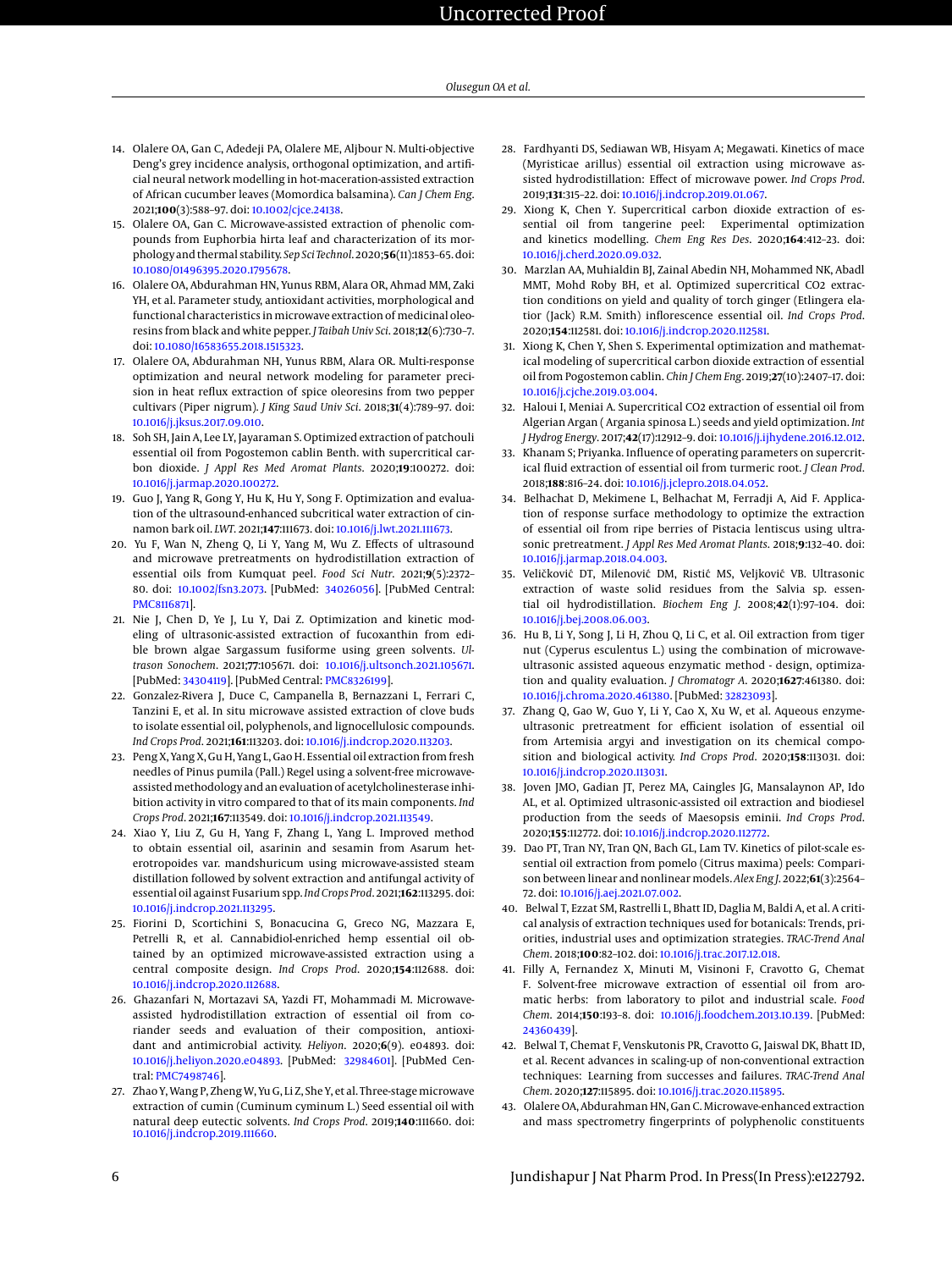- <span id="page-5-0"></span>14. Olalere OA, Gan C, Adedeji PA, Olalere ME, Aljbour N. Multi-objective Deng's grey incidence analysis, orthogonal optimization, and artificial neural network modelling in hot-maceration-assisted extraction of African cucumber leaves (Momordica balsamina). *Can J Chem Eng*. 2021;**100**(3):588–97. doi: [10.1002/cjce.24138.](http://dx.doi.org/10.1002/cjce.24138)
- <span id="page-5-1"></span>15. Olalere OA, Gan C. Microwave-assisted extraction of phenolic compounds from Euphorbia hirta leaf and characterization of its morphology and thermal stability. *Sep Sci Technol*. 2020;**56**(11):1853–65. doi: [10.1080/01496395.2020.1795678.](http://dx.doi.org/10.1080/01496395.2020.1795678)
- <span id="page-5-2"></span>16. Olalere OA, Abdurahman HN, Yunus RBM, Alara OR, Ahmad MM, Zaki YH, et al. Parameter study, antioxidant activities, morphological and functional characteristics in microwave extraction of medicinal oleoresins from black and white pepper. *J Taibah Univ Sci*. 2018;**12**(6):730–7. doi: [10.1080/16583655.2018.1515323.](http://dx.doi.org/10.1080/16583655.2018.1515323)
- <span id="page-5-3"></span>17. Olalere OA, Abdurahman NH, Yunus RBM, Alara OR. Multi-response optimization and neural network modeling for parameter precision in heat reflux extraction of spice oleoresins from two pepper cultivars (Piper nigrum). *J King Saud Univ Sci*. 2018;**31**(4):789–97. doi: [10.1016/j.jksus.2017.09.010.](http://dx.doi.org/10.1016/j.jksus.2017.09.010)
- <span id="page-5-4"></span>18. Soh SH, Jain A, Lee LY, Jayaraman S. Optimized extraction of patchouli essential oil from Pogostemon cablin Benth. with supercritical carbon dioxide. *J Appl Res Med Aromat Plants*. 2020;**19**:100272. doi: [10.1016/j.jarmap.2020.100272.](http://dx.doi.org/10.1016/j.jarmap.2020.100272)
- <span id="page-5-5"></span>19. Guo J, Yang R, Gong Y, Hu K, Hu Y, Song F. Optimization and evaluation of the ultrasound-enhanced subcritical water extraction of cinnamon bark oil. *LWT*. 2021;**147**:111673. doi: [10.1016/j.lwt.2021.111673.](http://dx.doi.org/10.1016/j.lwt.2021.111673)
- <span id="page-5-6"></span>20. Yu F, Wan N, Zheng Q, Li Y, Yang M, Wu Z. Effects of ultrasound and microwave pretreatments on hydrodistillation extraction of essential oils from Kumquat peel. *Food Sci Nutr*. 2021;**9**(5):2372– 80. doi: [10.1002/fsn3.2073.](http://dx.doi.org/10.1002/fsn3.2073) [PubMed: [34026056\]](http://www.ncbi.nlm.nih.gov/pubmed/34026056). [PubMed Central: [PMC8116871\]](https://www.ncbi.nlm.nih.gov/pmc/articles/PMC8116871).
- <span id="page-5-7"></span>21. Nie J, Chen D, Ye J, Lu Y, Dai Z. Optimization and kinetic modeling of ultrasonic-assisted extraction of fucoxanthin from edible brown algae Sargassum fusiforme using green solvents. *Ultrason Sonochem*. 2021;**77**:105671. doi: [10.1016/j.ultsonch.2021.105671.](http://dx.doi.org/10.1016/j.ultsonch.2021.105671) [PubMed: [34304119\]](http://www.ncbi.nlm.nih.gov/pubmed/34304119). [PubMed Central: [PMC8326199\]](https://www.ncbi.nlm.nih.gov/pmc/articles/PMC8326199).
- <span id="page-5-13"></span>22. Gonzalez-Rivera J, Duce C, Campanella B, Bernazzani L, Ferrari C, Tanzini E, et al. In situ microwave assisted extraction of clove buds to isolate essential oil, polyphenols, and lignocellulosic compounds. *Ind Crops Prod*. 2021;**161**:113203. doi: [10.1016/j.indcrop.2020.113203.](http://dx.doi.org/10.1016/j.indcrop.2020.113203)
- <span id="page-5-14"></span>23. Peng X, Yang X, Gu H, Yang L, Gao H. Essential oil extraction from fresh needles of Pinus pumila (Pall.) Regel using a solvent-free microwaveassistedmethodology and an evaluation of acetylcholinesterase inhibition activity in vitro compared to that of its main components. *Ind Crops Prod*. 2021;**167**:113549. doi: [10.1016/j.indcrop.2021.113549.](http://dx.doi.org/10.1016/j.indcrop.2021.113549)
- <span id="page-5-15"></span>24. Xiao Y, Liu Z, Gu H, Yang F, Zhang L, Yang L. Improved method to obtain essential oil, asarinin and sesamin from Asarum heterotropoides var. mandshuricum using microwave-assisted steam distillation followed by solvent extraction and antifungal activity of essential oil against Fusarium spp. *Ind Crops Prod*. 2021;**162**:113295. doi: [10.1016/j.indcrop.2021.113295.](http://dx.doi.org/10.1016/j.indcrop.2021.113295)
- <span id="page-5-16"></span>25. Fiorini D, Scortichini S, Bonacucina G, Greco NG, Mazzara E, Petrelli R, et al. Cannabidiol-enriched hemp essential oil obtained by an optimized microwave-assisted extraction using a central composite design. *Ind Crops Prod*. 2020;**154**:112688. doi: [10.1016/j.indcrop.2020.112688.](http://dx.doi.org/10.1016/j.indcrop.2020.112688)
- <span id="page-5-17"></span>26. Ghazanfari N, Mortazavi SA, Yazdi FT, Mohammadi M. Microwaveassisted hydrodistillation extraction of essential oil from coriander seeds and evaluation of their composition, antioxidant and antimicrobial activity. *Heliyon*. 2020;**6**(9). e04893. doi: [10.1016/j.heliyon.2020.e04893.](http://dx.doi.org/10.1016/j.heliyon.2020.e04893) [PubMed: [32984601\]](http://www.ncbi.nlm.nih.gov/pubmed/32984601). [PubMed Central: [PMC7498746\]](https://www.ncbi.nlm.nih.gov/pmc/articles/PMC7498746).
- <span id="page-5-18"></span>27. Zhao Y, Wang P, Zheng W, Yu G, Li Z, She Y, et al. Three-stage microwave extraction of cumin (Cuminum cyminum L.) Seed essential oil with natural deep eutectic solvents. *Ind Crops Prod*. 2019;**140**:111660. doi: [10.1016/j.indcrop.2019.111660.](http://dx.doi.org/10.1016/j.indcrop.2019.111660)
- <span id="page-5-19"></span>28. Fardhyanti DS, Sediawan WB, Hisyam A; Megawati. Kinetics of mace (Myristicae arillus) essential oil extraction using microwave assisted hydrodistillation: Effect of microwave power. *Ind Crops Prod*. 2019;**131**:315–22. doi: [10.1016/j.indcrop.2019.01.067.](http://dx.doi.org/10.1016/j.indcrop.2019.01.067)
- <span id="page-5-20"></span>29. Xiong K, Chen Y. Supercritical carbon dioxide extraction of essential oil from tangerine peel: Experimental optimization and kinetics modelling. *Chem Eng Res Des*. 2020;**164**:412–23. doi: [10.1016/j.cherd.2020.09.032.](http://dx.doi.org/10.1016/j.cherd.2020.09.032)
- <span id="page-5-21"></span>30. Marzlan AA, Muhialdin BJ, Zainal Abedin NH, Mohammed NK, Abadl MMT, Mohd Roby BH, et al. Optimized supercritical CO2 extraction conditions on yield and quality of torch ginger (Etlingera elatior (Jack) R.M. Smith) inflorescence essential oil. *Ind Crops Prod*. 2020;**154**:112581. doi: [10.1016/j.indcrop.2020.112581.](http://dx.doi.org/10.1016/j.indcrop.2020.112581)
- <span id="page-5-22"></span>31. Xiong K, Chen Y, Shen S. Experimental optimization and mathematical modeling of supercritical carbon dioxide extraction of essential oil from Pogostemon cablin. *Chin J Chem Eng*. 2019;**27**(10):2407–17. doi: [10.1016/j.cjche.2019.03.004.](http://dx.doi.org/10.1016/j.cjche.2019.03.004)
- <span id="page-5-23"></span>32. Haloui I, Meniai A. Supercritical CO2 extraction of essential oil from Algerian Argan ( Argania spinosa L.) seeds and yield optimization. *Int J Hydrog Energy*. 2017;**42**(17):12912–9. doi: [10.1016/j.ijhydene.2016.12.012.](http://dx.doi.org/10.1016/j.ijhydene.2016.12.012)
- <span id="page-5-24"></span>33. Khanam S; Priyanka. Influence of operating parameters on supercritical fluid extraction of essential oil from turmeric root. *J Clean Prod*. 2018;**188**:816–24. doi: [10.1016/j.jclepro.2018.04.052.](http://dx.doi.org/10.1016/j.jclepro.2018.04.052)
- <span id="page-5-25"></span>34. Belhachat D, Mekimene L, Belhachat M, Ferradji A, Aid F. Application of response surface methodology to optimize the extraction of essential oil from ripe berries of Pistacia lentiscus using ultrasonic pretreatment. *J Appl Res Med Aromat Plants*. 2018;**9**:132–40. doi: [10.1016/j.jarmap.2018.04.003.](http://dx.doi.org/10.1016/j.jarmap.2018.04.003)
- <span id="page-5-26"></span>35. Veličković DT, Milenović DM, Ristić MS, Veljković VB. Ultrasonic extraction of waste solid residues from the Salvia sp. essential oil hydrodistillation. *Biochem Eng J*. 2008;**42**(1):97–104. doi: [10.1016/j.bej.2008.06.003.](http://dx.doi.org/10.1016/j.bej.2008.06.003)
- <span id="page-5-27"></span>36. Hu B, Li Y, Song J, Li H, Zhou Q, Li C, et al. Oil extraction from tiger nut (Cyperus esculentus L.) using the combination of microwaveultrasonic assisted aqueous enzymatic method - design, optimization and quality evaluation. *J Chromatogr A*. 2020;**1627**:461380. doi: [10.1016/j.chroma.2020.461380.](http://dx.doi.org/10.1016/j.chroma.2020.461380) [PubMed: [32823093\]](http://www.ncbi.nlm.nih.gov/pubmed/32823093).
- <span id="page-5-28"></span>37. Zhang Q, Gao W, Guo Y, Li Y, Cao X, Xu W, et al. Aqueous enzymeultrasonic pretreatment for efficient isolation of essential oil from Artemisia argyi and investigation on its chemical composition and biological activity. *Ind Crops Prod*. 2020;**158**:113031. doi: [10.1016/j.indcrop.2020.113031.](http://dx.doi.org/10.1016/j.indcrop.2020.113031)
- <span id="page-5-29"></span>38. Joven JMO, Gadian JT, Perez MA, Caingles JG, Mansalaynon AP, Ido AL, et al. Optimized ultrasonic-assisted oil extraction and biodiesel production from the seeds of Maesopsis eminii. *Ind Crops Prod*. 2020;**155**:112772. doi: [10.1016/j.indcrop.2020.112772.](http://dx.doi.org/10.1016/j.indcrop.2020.112772)
- <span id="page-5-8"></span>39. Dao PT, Tran NY, Tran QN, Bach GL, Lam TV. Kinetics of pilot-scale essential oil extraction from pomelo (Citrus maxima) peels: Comparison between linear and nonlinear models. *Alex Eng J*. 2022;**61**(3):2564– 72. doi: [10.1016/j.aej.2021.07.002.](http://dx.doi.org/10.1016/j.aej.2021.07.002)
- <span id="page-5-9"></span>40. Belwal T, Ezzat SM, Rastrelli L, Bhatt ID, Daglia M, Baldi A, et al. A critical analysis of extraction techniques used for botanicals: Trends, priorities, industrial uses and optimization strategies. *TRAC-Trend Anal Chem*. 2018;**100**:82–102. doi: [10.1016/j.trac.2017.12.018.](http://dx.doi.org/10.1016/j.trac.2017.12.018)
- <span id="page-5-10"></span>41. Filly A, Fernandez X, Minuti M, Visinoni F, Cravotto G, Chemat F. Solvent-free microwave extraction of essential oil from aromatic herbs: from laboratory to pilot and industrial scale. *Food Chem*. 2014;**150**:193–8. doi: [10.1016/j.foodchem.2013.10.139.](http://dx.doi.org/10.1016/j.foodchem.2013.10.139) [PubMed: [24360439\]](http://www.ncbi.nlm.nih.gov/pubmed/24360439).
- <span id="page-5-11"></span>42. Belwal T, Chemat F, Venskutonis PR, Cravotto G, Jaiswal DK, Bhatt ID, et al. Recent advances in scaling-up of non-conventional extraction techniques: Learning from successes and failures. *TRAC-Trend Anal Chem*. 2020;**127**:115895. doi: [10.1016/j.trac.2020.115895.](http://dx.doi.org/10.1016/j.trac.2020.115895)
- <span id="page-5-12"></span>43. Olalere OA, Abdurahman HN, Gan C. Microwave-enhanced extraction and mass spectrometry fingerprints of polyphenolic constituents

6 Jundishapur J Nat Pharm Prod. In Press(In Press):e122792.